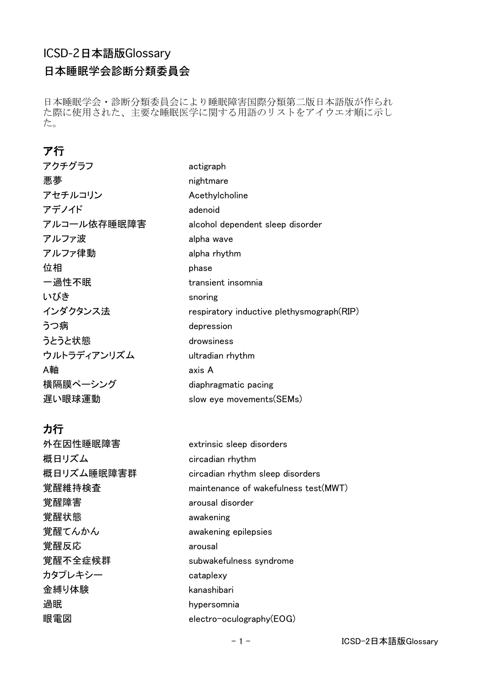# ICSD-2日本語版Glossary

日本睡眠学会診断分類委員会

日本睡眠学会・診断分類委員会により睡眠障害国際分類第二版日本語版が作られ た際に使用された、主要な睡眠医学に関する用語のリストをアイウエオ順に示し た。

## ア行

| アクチグラフ      | actigraph                                 |
|-------------|-------------------------------------------|
| 悪夢          | nightmare                                 |
| アセチルコリン     | Acethylcholine                            |
| アデノイド       | adenoid                                   |
| アルコール依存睡眠障害 | alcohol dependent sleep disorder          |
| アルファ波       | alpha wave                                |
| アルファ律動      | alpha rhythm                              |
| 位相          | phase                                     |
| 一過性不眠       | transient insomnia                        |
| いびき         | snoring                                   |
| インダクタンス法    | respiratory inductive plethysmograph(RIP) |
| うつ病         | depression                                |
| うとうと状態      | drowsiness                                |
| ウルトラディアンリズム | ultradian rhythm                          |
| A軸          | axis A                                    |
| 横隔膜ペーシング    | diaphragmatic pacing                      |
| 遅い眼球運動      | slow eye movements (SEMs)                 |

## カ行

外在因性睡眠障害 extrinsic sleep disorders 概日リズム circadian rhythm 概日リズム睡眠障害群 circadian rhythm sleep disorders **覚醒維持検査 maintenance of wakefulness test(MWT)** 覚醒障害 arousal disorder 覚醒状態 awakening 覚醒てんかん awakening epilepsies 覚醒反応 arousal 覚醒不全症候群 subwakefulness syndrome カタプレキシー cataplexy 金縛り体験 kanashibari 過眠 hypersomnia 眼電図 electro-oculography(EOG)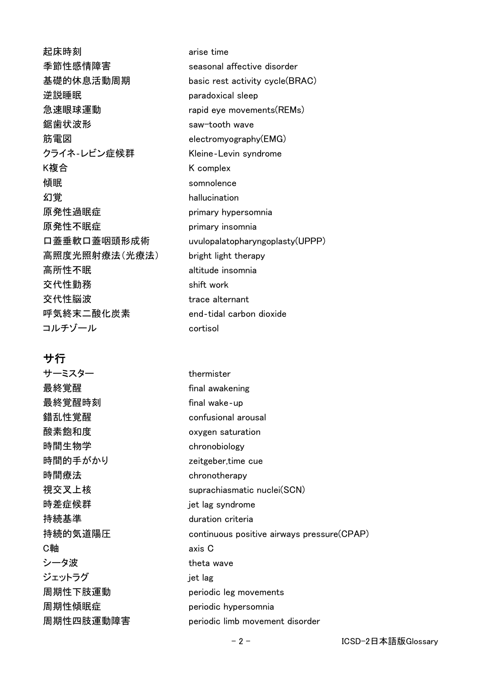起床時刻 arise time 季節性感情障害 seasonal affective disorder 逆説睡眠 paradoxical sleep 急速眼球運動 **rapid eye movements(REMs)** 鋸歯状波形 **saw-tooth wave** 筋電図 electromyography(EMG) クライネ‐レビン症候群 Kleine‐Levin syndrome K複合 **the complex** K complex **傾眠** somnolence 幻覚 hallucination 原発性過眠症 primary hypersomnia 原発性不眠症 primary insomnia 高照度光照射療法(光療法) bright light therapy 高所性不眠 altitude insomnia 交代性勤務 reader to the shift work 交代性脳波 trace alternant 呼気終末二酸化炭素 end‐tidal carbon dioxide コルチゾール cortisol

#### サ行

サーミスター thermister **最終覚醒 heroformal awakening** 最終覚醒時刻 **communical manages of the final wake**-up 錯乱性覚醒 confusional arousal 酸素飽和度 oxygen saturation 時間生物学 chronobiology 時間的手がかり zeitgeber,time cue 時間療法 chronotherapy 時差症候群 jet lag syndrome 持続基準 duration criteria C軸 axis C シータ波 **theta** wave ジェットラグ jet lag 周期性傾眠症 periodic hypersomnia

基礎的休息活動周期 basic rest activity cycle(BRAC) 口蓋垂軟口蓋咽頭形成術 uvulopalatopharyngoplasty(UPPP)

視交叉上核 suprachiasmatic nuclei(SCN) 持続的気道陽圧 continuous positive airways pressure(CPAP) 周期性下肢運動 periodic leg movements 周期性四肢運動障害 periodic limb movement disorder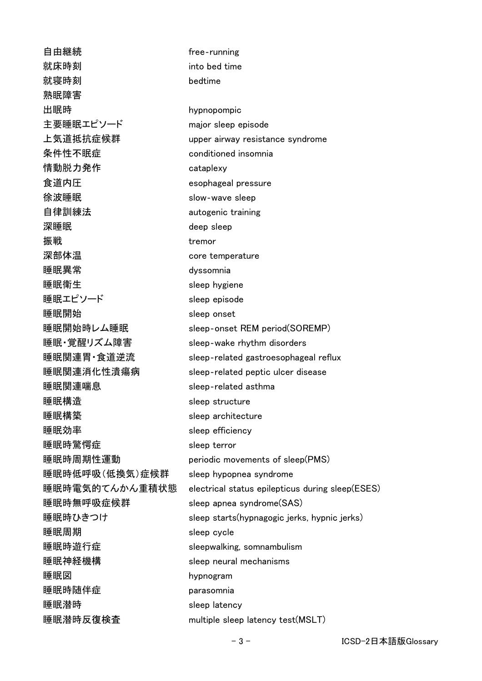**自由継続** free-running **就床時刻** into bed time 就寝時刻 bedtime 熟眠障害 出眠時 **hypnopompic** 主要睡眠エピソード major sleep episode 上気道抵抗症候群 upper airway resistance syndrome 条件性不眠症 conditioned insomnia 情動脱力発作 cataplexy 食道内圧 esophageal pressure **徐波睡眠 いきょうしょう slow-wave sleep** 自律訓練法 autogenic training **深睡眠** deep sleep 振戦 またし しょうしょう しょうしょう しょうかん しゅうしょう おおし おおし しょうしゃ しゅうしゃ おおし しゅうしゃ おおし しゅうしゃ おおし しゅうしゃ はんじょう しゅうしゃ おおし おおおお しゅうしゃ 深部体温 core temperature 睡眠異常 dyssomnia 睡眠衛生 sleep hygiene 睡眠エピソード sleep episode 睡眠開始 sleep onset 睡眠開始時レム睡眠 sleep-onset REM period(SOREMP) 睡眠・覚醒リズム障害 sleep‐wake rhythm disorders 睡眠関連胃・食道逆流 sleep‐related gastroesophageal reflux 睡眠関連消化性潰瘍病 sleep‐related peptic ulcer disease 睡眠関連喘息 sleep‐related asthma 睡眠構造 sleep structure 睡眠構築 sleep architecture 睡眠効率 sleep efficiency 睡眠時驚愕症 sleep terror 睡眠時周期性運動 periodic movements of sleep(PMS) 睡眠時低呼吸(低換気)症候群 sleep hypopnea syndrome 睡眠時電気的てんかん重積状態 electrical status epilepticus during sleep(ESES) 睡眠時無呼吸症候群 sleep apnea syndrome(SAS) 睡眠時ひきつけ sleep starts(hypnagogic jerks, hypnic jerks) **睡眠周期 sleep cycle** 睡眠時遊行症 sleepwalking, somnambulism 睡眠神経機構 sleep neural mechanisms 睡眠図 hypnogram 睡眠時随伴症 parasomnia **睡眠潜時 http://www.fatebook.com/** sleep latency 睡眠潜時反復検査 multiple sleep latency test(MSLT)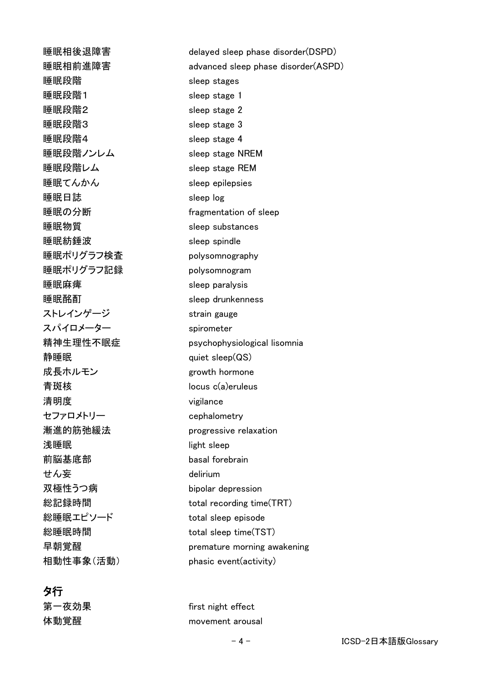**睡眠相後退障害 delayed sleep phase disorder(DSPD)** 睡眠段階 sleep stages 睡眠段階1 sleep stage 1 睡眠段階2 sleep stage 2 睡眠段階3 sleep stage 3 睡眠段階4 sleep stage 4 睡眠段階ノンレム sleep stage NREM 睡眠段階レム sleep stage REM 睡眠てんかん sleep epilepsies 睡眠日誌 sleep log 睡眠の分断 fragmentation of sleep 睡眠物質 sleep substances 睡眠紡錘波 sleep spindle 睡眠ポリグラフ検査 polysomnography 睡眠ポリグラフ記録 polysomnogram 睡眠麻痺 sleep paralysis 睡眠酩酊 sleep drunkenness ストレインゲージ strain gauge スパイロメーター spirometer 精神生理性不眠症 psychophysiological lisomnia 静睡眠 quiet sleep(QS) 成長ホルモン growth hormone 青斑核 locus c(a)eruleus 清明度 vigilance セファロメトリー cephalometry 漸進的筋弛緩法 progressive relaxation 浅睡眠 light sleep 前脳基底部 basal forebrain せん妄 しょうしょう delirium 双極性うつ病 しゅうしゅう bipolar depression 総記録時間 **total recording time(TRT)** 総睡眠エピソード total sleep episode 総睡眠時間 **total sleep time(TST)** 早朝覚醒 premature morning awakening 相動性事象(活動) phasic event(activity)

## タ行

睡眠相前進障害 advanced sleep phase disorder(A㻿㻼D)

第一夜効果 first night effect 体動覚醒 movement arousal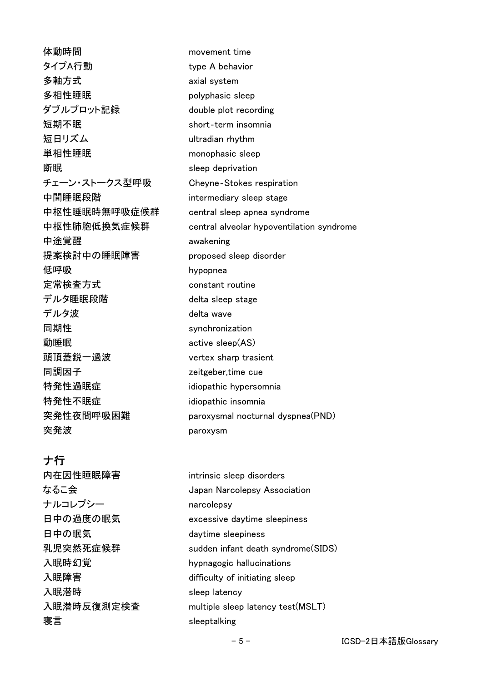体動時間 movement time タイプA行動 **type A behavior** 多軸方式 axial system 多相性睡眠 polyphasic sleep ダブルプロット記録 double plot recording 短期不眠 short‐term insomnia 短日リズム しゅうしょう ultradian rhythm 単相性睡眠 monophasic sleep **断眠** sleep deprivation チェーン・ストークス型呼吸 Chevne-Stokes respiration 中間睡眠段階 intermediary sleep stage 中枢性睡眠時無呼吸症候群 central sleep apnea syndrome 中枢性肺胞低換気症候群 central alveolar hypoventilation syndrome 中途覚醒 awakening 提案検討中の睡眠障害 proposed sleep disorder 低呼吸 **hypopnea** 定常検査方式 constant routine デルタ睡眠段階 delta sleep stage デルタ波 しゅうしょう delta wave 同期性 **synchronization** 動睡眠 active sleep(AS) 頭頂蓋鋭一過波 vertex sharp trasient 同調因子 zeitgeber,time cue 特発性過眠症 idiopathic hypersomnia 特発性不眠症 idiopathic insomnia 突発性夜間呼吸困難 paroxysmal nocturnal dyspnea(PND) 突発波 paroxysm

# ナ行

内在因性睡眠障害 intrinsic sleep disorders なるこ会 apan Narcolepsy Association ナルコレプシー narcolepsy 日中の過度の眠気 excessive daytime sleepiness 日中の眠気 daytime sleepiness 乳児突然死症候群 sudden infant death syndrome(SIDS) 入眠時幻覚 hypnagogic hallucinations 入眠障害 difficulty of initiating sleep 入眠潜時 sleep latency 入眠潜時反復測定検査 multiple sleep latency test(MSLT) 寝言 sleeptalking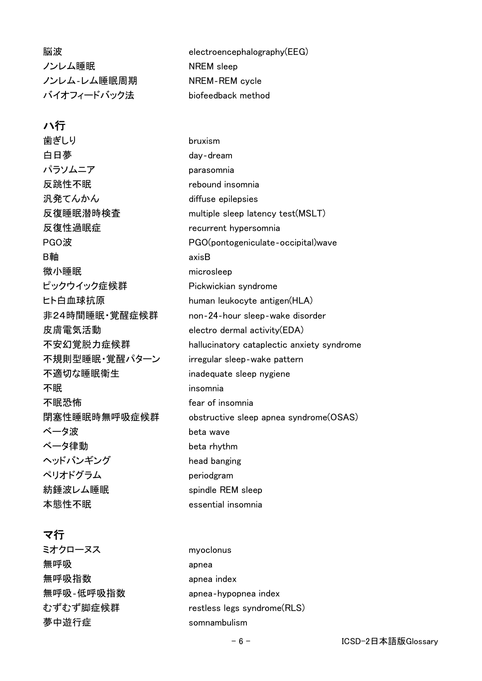ノンレム睡眠 NREM sleep ノンレム-レム睡眠周期 NREM-REM cycle バイオフィードバック法 biofeedback method

#### ハ行

**歯ぎしり** bruxism 白日夢 **day**-dream パラソムニア parasomnia 反跳性不眠 rebound insomnia 汎発てんかん diffuse epilepsies 反復性過眠症 recurrent hypersomnia B軸 axisB 微小睡眠 microsleep ピックウイック症候群 Pickwickian syndrome ヒト白血球抗原 **human leukocyte antigen**(HLA) 皮膚電気活動 electro dermal activity(EDA) 不規則型睡眠・覚醒パターン irregular sleep-wake pattern 不適切な睡眠衛生 inadequate sleep nygiene 不眠 **insomnia** 不眠恐怖 **fear of insomnia** ベータ波 beta wave **ベータ律動 しゅうしゅう beta rhythm** ヘッドバンギング head banging ペリオドグラム periodgram 紡錘波レム睡眠 spindle REM sleep

#### マ行

ミオクローヌス myoclonus 無呼吸 apnea 無呼吸指数 apnea index 夢中遊行症 somnambulism

脳波 electroencephalography(EEG)

反復睡眠潜時検査 multiple sleep latency test(MSLT) PGO波 PGO(pontogeniculate-occipital)wave 非24時間睡眠・覚醒症候群 non‐24‐hour sleep‐wake disorder 不安幻覚脱力症候群 hallucinatory cataplectic anxiety syndrome 閉塞性睡眠時無呼吸症候群 obstructive sleep apnea syndrome(OSAS) 本態性不眠 essential insomnia

無呼吸‐低呼吸指数 apnea‐hypopnea index むずむず脚症候群 restless legs syndrome(RLS)